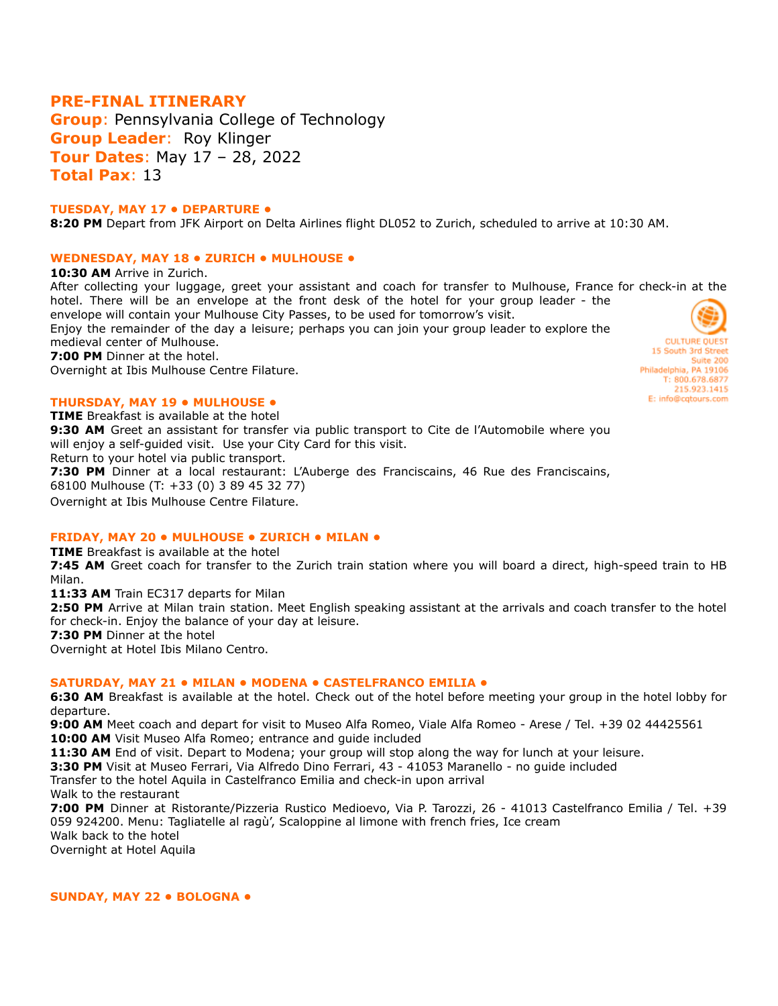# **PRE-FINAL ITINERARY**

**Group**: Pennsylvania College of Technology **Group Leader**: Roy Klinger **Tour Dates**: May 17 – 28, 2022 **Total Pax**: 13

### **TUESDAY, MAY 17 • DEPARTURE •**

**8:20 PM** Depart from JFK Airport on Delta Airlines flight DL052 to Zurich, scheduled to arrive at 10:30 AM.

# **WEDNESDAY, MAY 18 • ZURICH • MULHOUSE •**

**10:30 AM** Arrive in Zurich.

After collecting your luggage, greet your assistant and coach for transfer to Mulhouse, France for check-in at the hotel. There will be an envelope at the front desk of the hotel for your group leader - the envelope will contain your Mulhouse City Passes, to be used for tomorrow's visit.

Enjoy the remainder of the day a leisure; perhaps you can join your group leader to explore the medieval center of Mulhouse.

**7:00 PM** Dinner at the hotel.

Overnight at Ibis Mulhouse Centre Filature.

#### **THURSDAY, MAY 19 • MULHOUSE •**

**TIME** Breakfast is available at the hotel **9:30 AM** Greet an assistant for transfer via public transport to Cite de l'Automobile where you will enjoy a self-guided visit. Use your City Card for this visit. Return to your hotel via public transport. **7:30 PM** Dinner at a local restaurant: L'Auberge des Franciscains, 46 Rue des Franciscains, 68100 Mulhouse (T: +33 (0) 3 89 45 32 77) Overnight at Ibis Mulhouse Centre Filature.

### **FRIDAY, MAY 20 • MULHOUSE • ZURICH • MILAN •**

**TIME** Breakfast is available at the hotel

**7:45 AM** Greet coach for transfer to the Zurich train station where you will board a direct, high-speed train to HB Milan.

11:33 AM Train EC317 departs for Milan

**2:50 PM** Arrive at Milan train station. Meet English speaking assistant at the arrivals and coach transfer to the hotel for check-in. Enjoy the balance of your day at leisure.

**7:30 PM** Dinner at the hotel

Overnight at Hotel Ibis Milano Centro.

### **SATURDAY, MAY 21 • MILAN • MODENA • CASTELFRANCO EMILIA •**

**6:30 AM** Breakfast is available at the hotel. Check out of the hotel before meeting your group in the hotel lobby for departure.

**9:00 AM** Meet coach and depart for visit to Museo Alfa Romeo, Viale Alfa Romeo - Arese / Tel. +39 02 44425561 **10:00 AM** Visit Museo Alfa Romeo; entrance and quide included

11:30 AM End of visit. Depart to Modena; your group will stop along the way for lunch at your leisure.

**3:30 PM** Visit at Museo Ferrari, Via Alfredo Dino Ferrari, 43 - 41053 Maranello - no guide included

Transfer to the hotel Aquila in Castelfranco Emilia and check-in upon arrival Walk to the restaurant

**7:00 PM** Dinner at Ristorante/Pizzeria Rustico Medioevo, Via P. Tarozzi, 26 - 41013 Castelfranco Emilia / Tel. +39 059 924200. Menu: Tagliatelle al ragù', Scaloppine al limone with french fries, Ice cream Walk back to the hotel Overnight at Hotel Aquila

**SUNDAY, MAY 22 • BOLOGNA •**

**CULTURE OUEST** 15 South 3rd Street Suite 200 Philadelphia, PA 19106 T: 800.678.6877 215.923.1415 E: info@cqtours.com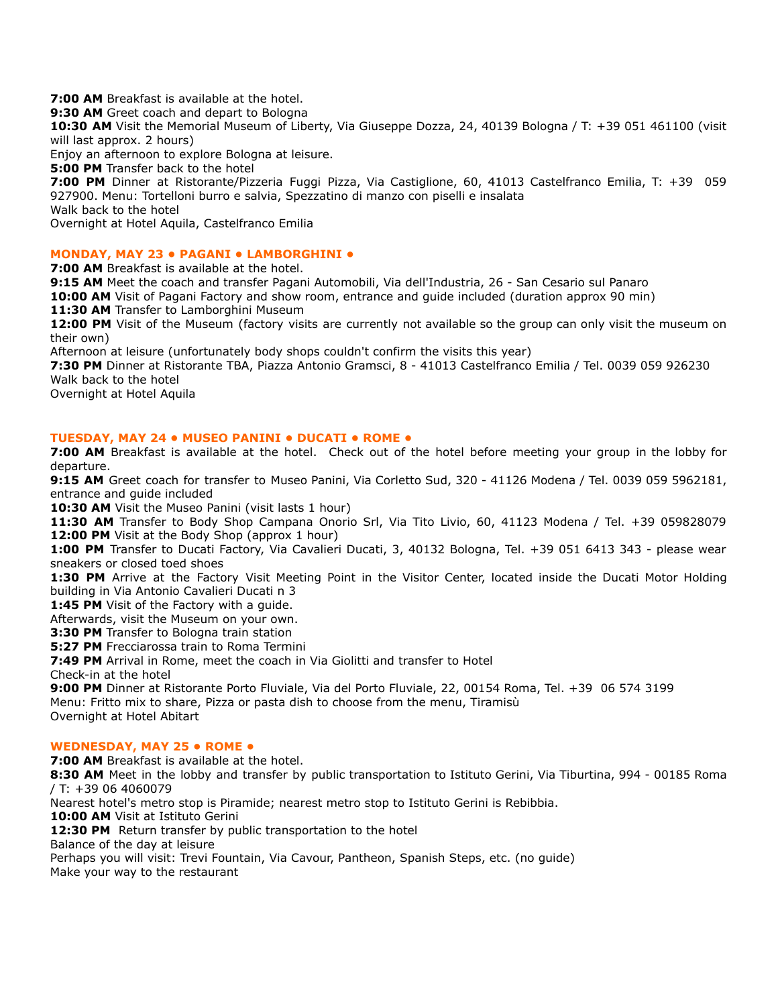**7:00 AM** Breakfast is available at the hotel.

**9:30 AM** Greet coach and depart to Bologna

**10:30 AM** Visit the Memorial Museum of Liberty, Via Giuseppe Dozza, 24, 40139 Bologna / T: +39 051 461100 (visit will last approx. 2 hours)

Enjoy an afternoon to explore Bologna at leisure.

**5:00 PM** Transfer back to the hotel

**7:00 PM** Dinner at Ristorante/Pizzeria Fuggi Pizza, Via Castiglione, 60, 41013 Castelfranco Emilia, T: +39 059 927900. Menu: Tortelloni burro e salvia, Spezzatino di manzo con piselli e insalata Walk back to the hotel

Overnight at Hotel Aquila, Castelfranco Emilia

# **MONDAY, MAY 23 • PAGANI • LAMBORGHINI •**

**7:00 AM** Breakfast is available at the hotel.

**9:15 AM** Meet the coach and transfer Pagani Automobili, Via dell'Industria, 26 - San Cesario sul Panaro

**10:00 AM** Visit of Pagani Factory and show room, entrance and guide included (duration approx 90 min)

11:30 AM Transfer to Lamborghini Museum

**12:00 PM** Visit of the Museum (factory visits are currently not available so the group can only visit the museum on their own)

Afternoon at leisure (unfortunately body shops couldn't confirm the visits this year)

**7:30 PM** Dinner at Ristorante TBA, Piazza Antonio Gramsci, 8 - 41013 Castelfranco Emilia / Tel. 0039 059 926230 Walk back to the hotel

Overnight at Hotel Aquila

### **TUESDAY, MAY 24 • MUSEO PANINI • DUCATI • ROME •**

**7:00 AM** Breakfast is available at the hotel. Check out of the hotel before meeting your group in the lobby for departure.

**9:15 AM** Greet coach for transfer to Museo Panini, Via Corletto Sud, 320 - 41126 Modena / Tel. 0039 059 5962181, entrance and guide included

10:30 AM Visit the Museo Panini (visit lasts 1 hour)

**11:30 AM** Transfer to Body Shop Campana Onorio Srl, Via Tito Livio, 60, 41123 Modena / Tel. +39 059828079 **12:00 PM** Visit at the Body Shop (approx 1 hour)

**1:00 PM** Transfer to Ducati Factory, Via Cavalieri Ducati, 3, 40132 Bologna, Tel. +39 051 6413 343 - please wear sneakers or closed toed shoes

**1:30 PM** Arrive at the Factory Visit Meeting Point in the Visitor Center, located inside the Ducati Motor Holding building in Via Antonio Cavalieri Ducati n 3

1:45 PM Visit of the Factory with a guide.

Afterwards, visit the Museum on your own.

**3:30 PM** Transfer to Bologna train station

**5:27 PM** Frecciarossa train to Roma Termini

**7:49 PM** Arrival in Rome, meet the coach in Via Giolitti and transfer to Hotel

Check-in at the hotel

**9:00 PM** Dinner at Ristorante Porto Fluviale, Via del Porto Fluviale, 22, 00154 Roma, Tel. +39 06 574 3199 Menu: Fritto mix to share, Pizza or pasta dish to choose from the menu, Tiramisù Overnight at Hotel Abitart

### **WEDNESDAY, MAY 25 • ROME •**

**7:00 AM** Breakfast is available at the hotel.

**8:30 AM** Meet in the lobby and transfer by public transportation to Istituto Gerini, Via Tiburtina, 994 - 00185 Roma / T: +39 06 4060079

Nearest hotel's metro stop is Piramide; nearest metro stop to Istituto Gerini is Rebibbia.

**10:00 AM** Visit at Istituto Gerini

12:30 PM Return transfer by public transportation to the hotel

Balance of the day at leisure

Perhaps you will visit: Trevi Fountain, Via Cavour, Pantheon, Spanish Steps, etc. (no guide)

Make your way to the restaurant